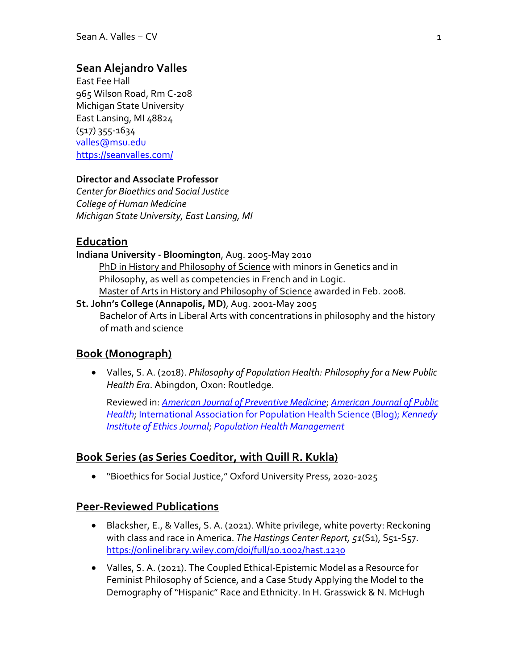#### **Sean Alejandro Valles**

East Fee Hall 965 Wilson Road, Rm C-208 Michigan State University East Lansing, MI 48824 (517) 355-1634 valles@msu.edu https://seanvalles.com/

#### **Director and Associate Professor**

*Center for Bioethics and Social Justice College of Human Medicine Michigan State University, East Lansing, MI*

#### **Education**

- **Indiana University - Bloomington**, Aug. 2005-May 2010 PhD in History and Philosophy of Science with minors in Genetics and in Philosophy, as well as competencies in French and in Logic. Master of Arts in History and Philosophy of Science awarded in Feb. 2008. **St. John's College (Annapolis, MD)**, Aug. 2001-May 2005
	- Bachelor of Arts in Liberal Arts with concentrations in philosophy and the history of math and science

#### **Book (Monograph)**

• Valles, S. A. (2018). *Philosophy of Population Health: Philosophy for a New Public Health Era*. Abingdon, Oxon: Routledge.

Reviewed in: *American Journal of Preventive Medicine*; *American Journal of Public Health*; International Association for Population Health Science (Blog); *Kennedy Institute of Ethics Journal*; *Population Health Management*

#### **Book Series (as Series Coeditor, with Quill R. Kukla)**

• "Bioethics for Social Justice," Oxford University Press, 2020-2025

#### **Peer-Reviewed Publications**

- Blacksher, E., & Valles, S. A. (2021). White privilege, white poverty: Reckoning with class and race in America. *The Hastings Center Report, 51*(S1), S51-S57. https://onlinelibrary.wiley.com/doi/full/10.1002/hast.1230
- Valles, S. A. (2021). The Coupled Ethical-Epistemic Model as a Resource for Feminist Philosophy of Science, and a Case Study Applying the Model to the Demography of "Hispanic" Race and Ethnicity. In H. Grasswick & N. McHugh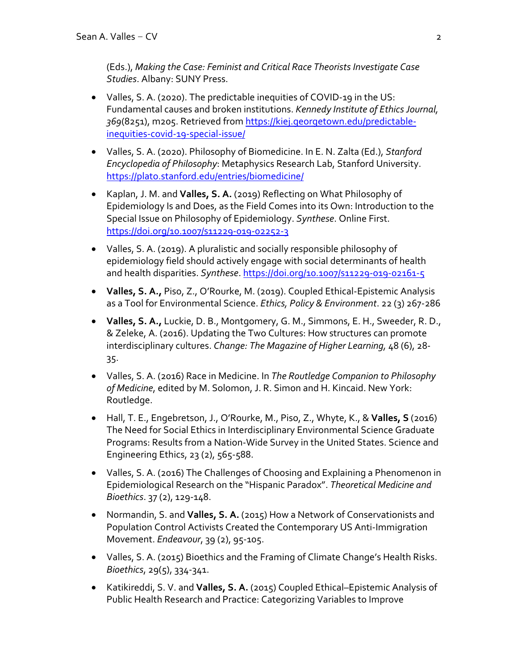(Eds.), *Making the Case: Feminist and Critical Race Theorists Investigate Case Studies*. Albany: SUNY Press.

- Valles, S. A. (2020). The predictable inequities of COVID-19 in the US: Fundamental causes and broken institutions. *Kennedy Institute of Ethics Journal, 369*(8251), m205. Retrieved from https://kiej.georgetown.edu/predictableinequities-covid-19-special-issue/
- Valles, S. A. (2020). Philosophy of Biomedicine. In E. N. Zalta (Ed.), *Stanford Encyclopedia of Philosophy*: Metaphysics Research Lab, Stanford University. https://plato.stanford.edu/entries/biomedicine/
- Kaplan, J. M. and **Valles, S. A.** (2019) Reflecting on What Philosophy of Epidemiology Is and Does, as the Field Comes into its Own: Introduction to the Special Issue on Philosophy of Epidemiology. *Synthese*. Online First. https://doi.org/10.1007/s11229-019-02252-3
- Valles, S. A. (2019). A pluralistic and socially responsible philosophy of epidemiology field should actively engage with social determinants of health and health disparities. *Synthese*. https://doi.org/10.1007/s11229-019-02161-5
- **Valles, S. A.,** Piso, Z., O'Rourke, M. (2019). Coupled Ethical-Epistemic Analysis as a Tool for Environmental Science. *Ethics, Policy & Environment*. 22 (3) 267-286
- **Valles, S. A.,** Luckie, D. B., Montgomery, G. M., Simmons, E. H., Sweeder, R. D., & Zeleke, A. (2016). Updating the Two Cultures: How structures can promote interdisciplinary cultures. *Change: The Magazine of Higher Learning,* 48 (6), 28- 35.
- Valles, S. A. (2016) Race in Medicine. In *The Routledge Companion to Philosophy of Medicine*, edited by M. Solomon, J. R. Simon and H. Kincaid. New York: Routledge.
- Hall, T. E., Engebretson, J., O'Rourke, M., Piso, Z., Whyte, K., & **Valles, S** (2016) The Need for Social Ethics in Interdisciplinary Environmental Science Graduate Programs: Results from a Nation-Wide Survey in the United States. Science and Engineering Ethics, 23 (2), 565-588.
- Valles, S. A. (2016) The Challenges of Choosing and Explaining a Phenomenon in Epidemiological Research on the "Hispanic Paradox". *Theoretical Medicine and Bioethics*. 37 (2), 129-148.
- Normandin, S. and **Valles, S. A.** (2015) How a Network of Conservationists and Population Control Activists Created the Contemporary US Anti-Immigration Movement. *Endeavour*, 39 (2), 95-105.
- Valles, S. A. (2015) Bioethics and the Framing of Climate Change's Health Risks. *Bioethics*, 29(5), 334-341.
- Katikireddi, S. V. and **Valles, S. A.** (2015) Coupled Ethical–Epistemic Analysis of Public Health Research and Practice: Categorizing Variables to Improve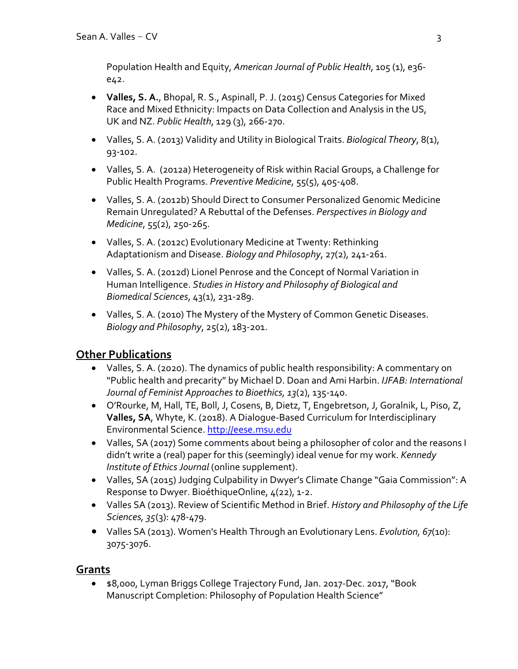Population Health and Equity, *American Journal of Public Health*, 105 (1), e36 e42.

- **Valles, S. A.**, Bhopal, R. S., Aspinall, P. J. (2015) Census Categories for Mixed Race and Mixed Ethnicity: Impacts on Data Collection and Analysis in the US, UK and NZ. *Public Health*, 129 (3), 266-270.
- Valles, S. A. (2013) Validity and Utility in Biological Traits. *Biological Theory*, 8(1), 93-102.
- Valles, S. A. (2012a) Heterogeneity of Risk within Racial Groups, a Challenge for Public Health Programs. *Preventive Medicine*, 55(5), 405-408.
- Valles, S. A. (2012b) Should Direct to Consumer Personalized Genomic Medicine Remain Unregulated? A Rebuttal of the Defenses. *Perspectives in Biology and Medicine*, 55(2), 250-265.
- Valles, S. A. (2012c) Evolutionary Medicine at Twenty: Rethinking Adaptationism and Disease. *Biology and Philosophy*, 27(2), 241-261.
- Valles, S. A. (2012d) Lionel Penrose and the Concept of Normal Variation in Human Intelligence. *Studies in History and Philosophy of Biological and Biomedical Sciences*, 43(1), 231-289.
- Valles, S. A. (2010) The Mystery of the Mystery of Common Genetic Diseases. *Biology and Philosophy*, 25(2), 183-201.

# **Other Publications**

- Valles, S. A. (2020). The dynamics of public health responsibility: A commentary on "Public health and precarity" by Michael D. Doan and Ami Harbin. *IJFAB: International Journal of Feminist Approaches to Bioethics, 13*(2), 135-140.
- O'Rourke, M, Hall, TE, Boll, J, Cosens, B, Dietz, T, Engebretson, J, Goralnik, L, Piso, Z, **Valles, SA**, Whyte, K. (2018). A Dialogue-Based Curriculum for Interdisciplinary Environmental Science. http://eese.msu.edu
- Valles, SA (2017) Some comments about being a philosopher of color and the reasons I didn't write a (real) paper for this (seemingly) ideal venue for my work. *Kennedy Institute of Ethics Journal* (online supplement).
- Valles, SA (2015) Judging Culpability in Dwyer's Climate Change "Gaia Commission": A Response to Dwyer. BioéthiqueOnline, 4(22), 1-2.
- Valles SA (2013). Review of Scientific Method in Brief. *History and Philosophy of the Life Sciences, 35*(3): 478-479.
- Valles SA (2013). Women's Health Through an Evolutionary Lens. *Evolution, 67*(10): 3075-3076.

# **Grants**

• \$8,000, Lyman Briggs College Trajectory Fund, Jan. 2017-Dec. 2017, "Book Manuscript Completion: Philosophy of Population Health Science"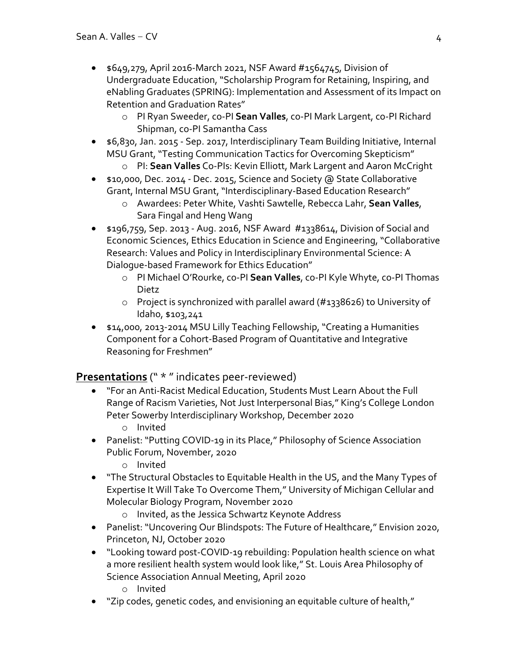- $\bullet$  \$649,279, April 2016-March 2021, NSF Award #1564745, Division of Undergraduate Education, "Scholarship Program for Retaining, Inspiring, and eNabling Graduates (SPRING): Implementation and Assessment of its Impact on Retention and Graduation Rates"
	- o PI Ryan Sweeder, co-PI **Sean Valles**, co-PI Mark Largent, co-PI Richard Shipman, co-PI Samantha Cass
- \$6,830, Jan. 2015 Sep. 2017, Interdisciplinary Team Building Initiative, Internal MSU Grant, "Testing Communication Tactics for Overcoming Skepticism"
	- o PI: **Sean Valles** Co-PIs: Kevin Elliott, Mark Largent and Aaron McCright
- \$10,000, Dec. 2014 Dec. 2015, Science and Society @ State Collaborative Grant, Internal MSU Grant, "Interdisciplinary-Based Education Research"
	- o Awardees: Peter White, Vashti Sawtelle, Rebecca Lahr, **Sean Valles**, Sara Fingal and Heng Wang
- \$196,759, Sep. 2013 Aug. 2016, NSF Award #1338614, Division of Social and Economic Sciences, Ethics Education in Science and Engineering, "Collaborative Research: Values and Policy in Interdisciplinary Environmental Science: A Dialogue-based Framework for Ethics Education"
	- o PI Michael O'Rourke, co-PI **Sean Valles**, co-PI Kyle Whyte, co-PI Thomas Dietz
	- o Project is synchronized with parallel award (#1338626) to University of Idaho, \$103,241
- \$14,000, 2013-2014 MSU Lilly Teaching Fellowship, "Creating a Humanities Component for a Cohort-Based Program of Quantitative and Integrative Reasoning for Freshmen"

### **Presentations** (" \* " indicates peer-reviewed)

- "For an Anti-Racist Medical Education, Students Must Learn About the Full Range of Racism Varieties, Not Just Interpersonal Bias," King's College London Peter Sowerby Interdisciplinary Workshop, December 2020
	- o Invited
- Panelist: "Putting COVID-19 in its Place," Philosophy of Science Association Public Forum, November, 2020
	- o Invited
- "The Structural Obstacles to Equitable Health in the US, and the Many Types of Expertise It Will Take To Overcome Them," University of Michigan Cellular and Molecular Biology Program, November 2020
	- o Invited, as the Jessica Schwartz Keynote Address
- Panelist: "Uncovering Our Blindspots: The Future of Healthcare," Envision 2020, Princeton, NJ, October 2020
- "Looking toward post-COVID-19 rebuilding: Population health science on what a more resilient health system would look like," St. Louis Area Philosophy of Science Association Annual Meeting, April 2020
	- o Invited
- "Zip codes, genetic codes, and envisioning an equitable culture of health,"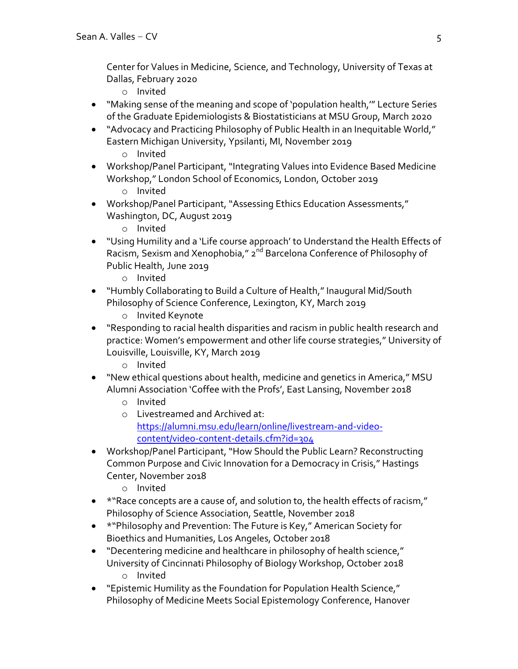Center for Values in Medicine, Science, and Technology, University of Texas at Dallas, February 2020

- o Invited
- "Making sense of the meaning and scope of 'population health,'" Lecture Series of the Graduate Epidemiologists & Biostatisticians at MSU Group, March 2020
- "Advocacy and Practicing Philosophy of Public Health in an Inequitable World," Eastern Michigan University, Ypsilanti, MI, November 2019
	- o Invited
- Workshop/Panel Participant, "Integrating Values into Evidence Based Medicine Workshop," London School of Economics, London, October 2019 o Invited
- Workshop/Panel Participant, "Assessing Ethics Education Assessments," Washington, DC, August 2019
	- o Invited
- "Using Humility and a 'Life course approach' to Understand the Health Effects of Racism, Sexism and Xenophobia," 2<sup>nd</sup> Barcelona Conference of Philosophy of Public Health, June 2019
	- o Invited
- "Humbly Collaborating to Build a Culture of Health," Inaugural Mid/South Philosophy of Science Conference, Lexington, KY, March 2019
	- o Invited Keynote
- "Responding to racial health disparities and racism in public health research and practice: Women's empowerment and other life course strategies," University of Louisville, Louisville, KY, March 2019
	- o Invited
- "New ethical questions about health, medicine and genetics in America," MSU Alumni Association 'Coffee with the Profs', East Lansing, November 2018
	- o Invited
	- o Livestreamed and Archived at: https://alumni.msu.edu/learn/online/livestream-and-videocontent/video-content-details.cfm?id=304
- Workshop/Panel Participant, "How Should the Public Learn? Reconstructing Common Purpose and Civic Innovation for a Democracy in Crisis," Hastings Center, November 2018
	- o Invited
- \*"Race concepts are a cause of, and solution to, the health effects of racism," Philosophy of Science Association, Seattle, November 2018
- \*"Philosophy and Prevention: The Future is Key," American Society for Bioethics and Humanities, Los Angeles, October 2018
- "Decentering medicine and healthcare in philosophy of health science," University of Cincinnati Philosophy of Biology Workshop, October 2018
	- o Invited
- "Epistemic Humility as the Foundation for Population Health Science," Philosophy of Medicine Meets Social Epistemology Conference, Hanover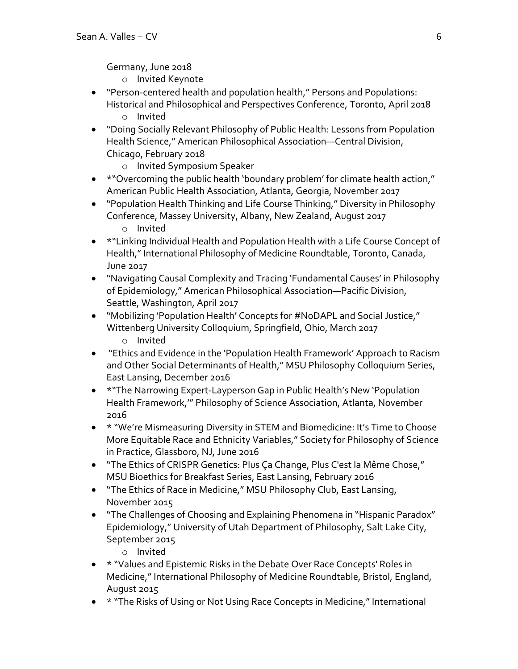Germany, June 2018

- o Invited Keynote
- "Person-centered health and population health," Persons and Populations: Historical and Philosophical and Perspectives Conference, Toronto, April 2018
	- o Invited
- "Doing Socially Relevant Philosophy of Public Health: Lessons from Population Health Science," American Philosophical Association—Central Division, Chicago, February 2018
	- o Invited Symposium Speaker
- \*"Overcoming the public health 'boundary problem' for climate health action," American Public Health Association, Atlanta, Georgia, November 2017
- "Population Health Thinking and Life Course Thinking," Diversity in Philosophy Conference, Massey University, Albany, New Zealand, August 2017 o Invited
- \*"Linking Individual Health and Population Health with a Life Course Concept of Health," International Philosophy of Medicine Roundtable, Toronto, Canada, June 2017
- "Navigating Causal Complexity and Tracing 'Fundamental Causes' in Philosophy of Epidemiology," American Philosophical Association—Pacific Division, Seattle, Washington, April 2017
- "Mobilizing 'Population Health' Concepts for #NoDAPL and Social Justice," Wittenberg University Colloquium, Springfield, Ohio, March 2017 o Invited
- "Ethics and Evidence in the 'Population Health Framework' Approach to Racism and Other Social Determinants of Health," MSU Philosophy Colloquium Series, East Lansing, December 2016
- \*"The Narrowing Expert-Layperson Gap in Public Health's New 'Population Health Framework,'" Philosophy of Science Association, Atlanta, November 2016
- \* "We're Mismeasuring Diversity in STEM and Biomedicine: It's Time to Choose More Equitable Race and Ethnicity Variables," Society for Philosophy of Science in Practice, Glassboro, NJ, June 2016
- "The Ethics of CRISPR Genetics: Plus Ça Change, Plus C'est la Même Chose," MSU Bioethics for Breakfast Series, East Lansing, February 2016
- "The Ethics of Race in Medicine," MSU Philosophy Club, East Lansing, November 2015
- "The Challenges of Choosing and Explaining Phenomena in "Hispanic Paradox" Epidemiology," University of Utah Department of Philosophy, Salt Lake City, September 2015
	- o Invited
- \* "Values and Epistemic Risks in the Debate Over Race Concepts' Roles in Medicine," International Philosophy of Medicine Roundtable, Bristol, England, August 2015
- \* "The Risks of Using or Not Using Race Concepts in Medicine," International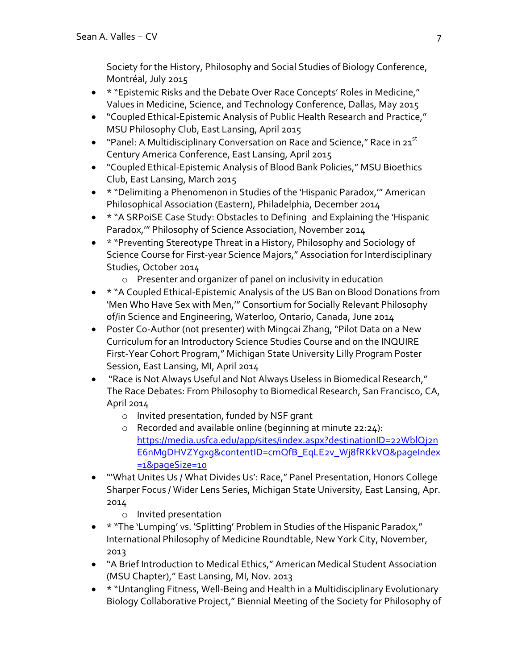Society for the History, Philosophy and Social Studies of Biology Conference, Montréal, July 2015

- \* "Epistemic Risks and the Debate Over Race Concepts' Roles in Medicine," Values in Medicine, Science, and Technology Conference, Dallas, May 2015
- "Coupled Ethical-Epistemic Analysis of Public Health Research and Practice," MSU Philosophy Club, East Lansing, April 2015
- "Panel: A Multidisciplinary Conversation on Race and Science," Race in  $21^{st}$ Century America Conference, East Lansing, April 2015
- "Coupled Ethical-Epistemic Analysis of Blood Bank Policies," MSU Bioethics Club, East Lansing, March 2015
- \* "Delimiting a Phenomenon in Studies of the 'Hispanic Paradox,'" American Philosophical Association (Eastern), Philadelphia, December 2014
- \* "A SRPoiSE Case Study: Obstacles to Defining and Explaining the 'Hispanic Paradox,'" Philosophy of Science Association, November 2014
- \* "Preventing Stereotype Threat in a History, Philosophy and Sociology of Science Course for First-year Science Majors," Association for Interdisciplinary Studies, October 2014
	- o Presenter and organizer of panel on inclusivity in education
- \* "A Coupled Ethical-Epistemic Analysis of the US Ban on Blood Donations from 'Men Who Have Sex with Men,'" Consortium for Socially Relevant Philosophy of/in Science and Engineering, Waterloo, Ontario, Canada, June 2014
- Poster Co-Author (not presenter) with Mingcai Zhang, "Pilot Data on a New Curriculum for an Introductory Science Studies Course and on the INQUIRE First-Year Cohort Program," Michigan State University Lilly Program Poster Session, East Lansing, MI, April 2014
- "Race is Not Always Useful and Not Always Useless in Biomedical Research," The Race Debates: From Philosophy to Biomedical Research, San Francisco, CA, April 2014
	- o Invited presentation, funded by NSF grant
	- o Recorded and available online (beginning at minute 22:24): https://media.usfca.edu/app/sites/index.aspx?destinationID=22WblQj2n E6nMgDHVZYgxg&contentID=cmQfB\_EqLE2v\_Wj8fRKkVQ&pageIndex =1&pageSize=10
- "'What Unites Us / What Divides Us': Race," Panel Presentation, Honors College Sharper Focus / Wider Lens Series, Michigan State University, East Lansing, Apr. 2014
	- o Invited presentation
- \* "The 'Lumping' vs. 'Splitting' Problem in Studies of the Hispanic Paradox," International Philosophy of Medicine Roundtable, New York City, November, 2013
- "A Brief Introduction to Medical Ethics," American Medical Student Association (MSU Chapter)," East Lansing, MI, Nov. 2013
- \* "Untangling Fitness, Well-Being and Health in a Multidisciplinary Evolutionary Biology Collaborative Project," Biennial Meeting of the Society for Philosophy of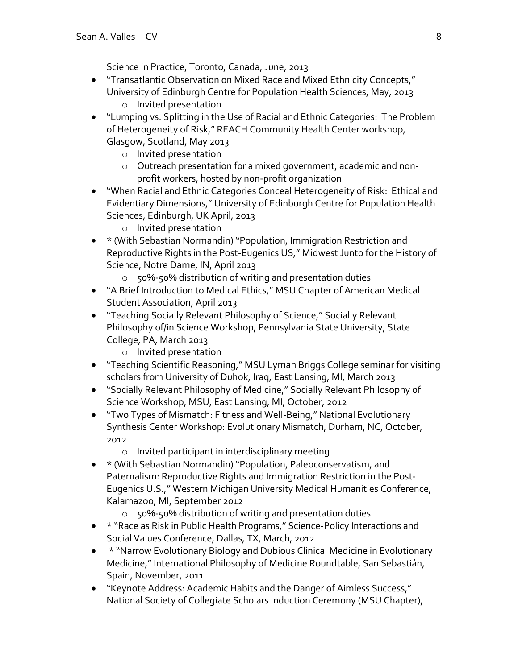Science in Practice, Toronto, Canada, June, 2013

- "Transatlantic Observation on Mixed Race and Mixed Ethnicity Concepts," University of Edinburgh Centre for Population Health Sciences, May, 2013
	- o Invited presentation
- "Lumping vs. Splitting in the Use of Racial and Ethnic Categories: The Problem of Heterogeneity of Risk," REACH Community Health Center workshop, Glasgow, Scotland, May 2013
	- o Invited presentation
	- o Outreach presentation for a mixed government, academic and nonprofit workers, hosted by non-profit organization
- "When Racial and Ethnic Categories Conceal Heterogeneity of Risk: Ethical and Evidentiary Dimensions," University of Edinburgh Centre for Population Health Sciences, Edinburgh, UK April, 2013
	- o Invited presentation
- \* (With Sebastian Normandin) "Population, Immigration Restriction and Reproductive Rights in the Post-Eugenics US," Midwest Junto for the History of Science, Notre Dame, IN, April 2013
	- o 50%-50% distribution of writing and presentation duties
- "A Brief Introduction to Medical Ethics," MSU Chapter of American Medical Student Association, April 2013
- "Teaching Socially Relevant Philosophy of Science," Socially Relevant Philosophy of/in Science Workshop, Pennsylvania State University, State College, PA, March 2013
	- o Invited presentation
- "Teaching Scientific Reasoning," MSU Lyman Briggs College seminar for visiting scholars from University of Duhok, Iraq, East Lansing, MI, March 2013
- "Socially Relevant Philosophy of Medicine," Socially Relevant Philosophy of Science Workshop, MSU, East Lansing, MI, October, 2012
- "Two Types of Mismatch: Fitness and Well-Being," National Evolutionary Synthesis Center Workshop: Evolutionary Mismatch, Durham, NC, October, 2012
	- o Invited participant in interdisciplinary meeting
- \* (With Sebastian Normandin) "Population, Paleoconservatism, and Paternalism: Reproductive Rights and Immigration Restriction in the Post-Eugenics U.S.," Western Michigan University Medical Humanities Conference, Kalamazoo, MI, September 2012
	- o 50%-50% distribution of writing and presentation duties
- \* "Race as Risk in Public Health Programs," Science-Policy Interactions and Social Values Conference, Dallas, TX, March, 2012
- \* "Narrow Evolutionary Biology and Dubious Clinical Medicine in Evolutionary Medicine," International Philosophy of Medicine Roundtable, San Sebastián, Spain, November, 2011
- "Keynote Address: Academic Habits and the Danger of Aimless Success," National Society of Collegiate Scholars Induction Ceremony (MSU Chapter),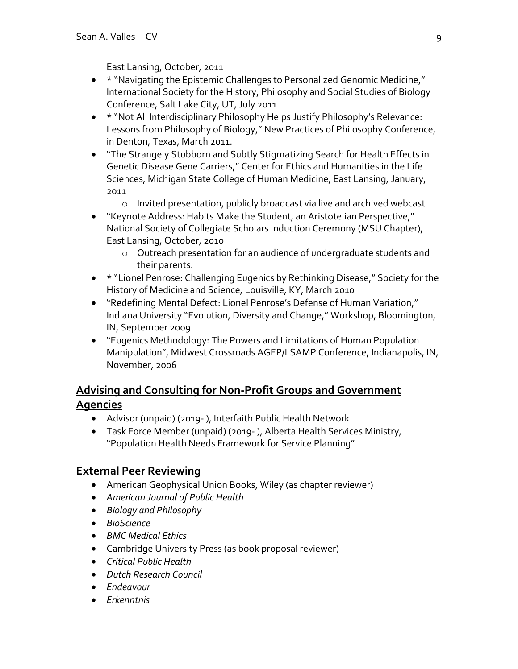East Lansing, October, 2011

- \* "Navigating the Epistemic Challenges to Personalized Genomic Medicine," International Society for the History, Philosophy and Social Studies of Biology Conference, Salt Lake City, UT, July 2011
- \* "Not All Interdisciplinary Philosophy Helps Justify Philosophy's Relevance: Lessons from Philosophy of Biology," New Practices of Philosophy Conference, in Denton, Texas, March 2011.
- "The Strangely Stubborn and Subtly Stigmatizing Search for Health Effects in Genetic Disease Gene Carriers," Center for Ethics and Humanities in the Life Sciences, Michigan State College of Human Medicine, East Lansing, January, 2011
	- o Invited presentation, publicly broadcast via live and archived webcast
- "Keynote Address: Habits Make the Student, an Aristotelian Perspective," National Society of Collegiate Scholars Induction Ceremony (MSU Chapter), East Lansing, October, 2010
	- o Outreach presentation for an audience of undergraduate students and their parents.
- \* "Lionel Penrose: Challenging Eugenics by Rethinking Disease," Society for the History of Medicine and Science, Louisville, KY, March 2010
- "Redefining Mental Defect: Lionel Penrose's Defense of Human Variation," Indiana University "Evolution, Diversity and Change," Workshop, Bloomington, IN, September 2009
- "Eugenics Methodology: The Powers and Limitations of Human Population Manipulation", Midwest Crossroads AGEP/LSAMP Conference, Indianapolis, IN, November, 2006

## **Advising and Consulting for Non-Profit Groups and Government Agencies**

- Advisor (unpaid) (2019- ), Interfaith Public Health Network
- Task Force Member (unpaid) (2019- ), Alberta Health Services Ministry, "Population Health Needs Framework for Service Planning"

### **External Peer Reviewing**

- American Geophysical Union Books, Wiley (as chapter reviewer)
- *American Journal of Public Health*
- *Biology and Philosophy*
- *BioScience*
- *BMC Medical Ethics*
- Cambridge University Press (as book proposal reviewer)
- *Critical Public Health*
- *Dutch Research Council*
- *Endeavour*
- *Erkenntnis*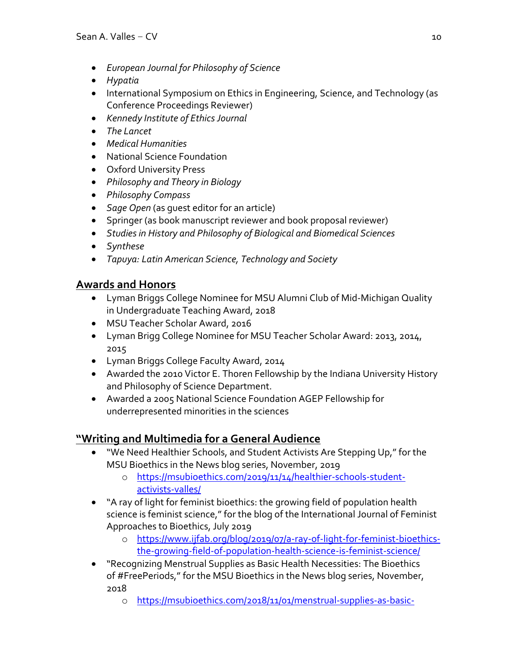- *European Journal for Philosophy of Science*
- *Hypatia*
- International Symposium on Ethics in Engineering, Science, and Technology (as Conference Proceedings Reviewer)
- *Kennedy Institute of Ethics Journal*
- *The Lancet*
- *Medical Humanities*
- National Science Foundation
- Oxford University Press
- *Philosophy and Theory in Biology*
- *Philosophy Compass*
- *Sage Open* (as guest editor for an article)
- Springer (as book manuscript reviewer and book proposal reviewer)
- *Studies in History and Philosophy of Biological and Biomedical Sciences*
- *Synthese*
- *Tapuya: Latin American Science, Technology and Society*

### **Awards and Honors**

- Lyman Briggs College Nominee for MSU Alumni Club of Mid-Michigan Quality in Undergraduate Teaching Award, 2018
- MSU Teacher Scholar Award, 2016
- Lyman Brigg College Nominee for MSU Teacher Scholar Award: 2013, 2014, 2015
- Lyman Briggs College Faculty Award, 2014
- Awarded the 2010 Victor E. Thoren Fellowship by the Indiana University History and Philosophy of Science Department.
- Awarded a 2005 National Science Foundation AGEP Fellowship for underrepresented minorities in the sciences

### **"Writing and Multimedia for a General Audience**

- "We Need Healthier Schools, and Student Activists Are Stepping Up," for the MSU Bioethics in the News blog series, November, 2019
	- o https://msubioethics.com/2019/11/14/healthier-schools-studentactivists-valles/
- "A ray of light for feminist bioethics: the growing field of population health science is feminist science," for the blog of the International Journal of Feminist Approaches to Bioethics, July 2019
	- o https://www.ijfab.org/blog/2019/07/a-ray-of-light-for-feminist-bioethicsthe-growing-field-of-population-health-science-is-feminist-science/
- "Recognizing Menstrual Supplies as Basic Health Necessities: The Bioethics of #FreePeriods," for the MSU Bioethics in the News blog series, November, 2018
	- o https://msubioethics.com/2018/11/01/menstrual-supplies-as-basic-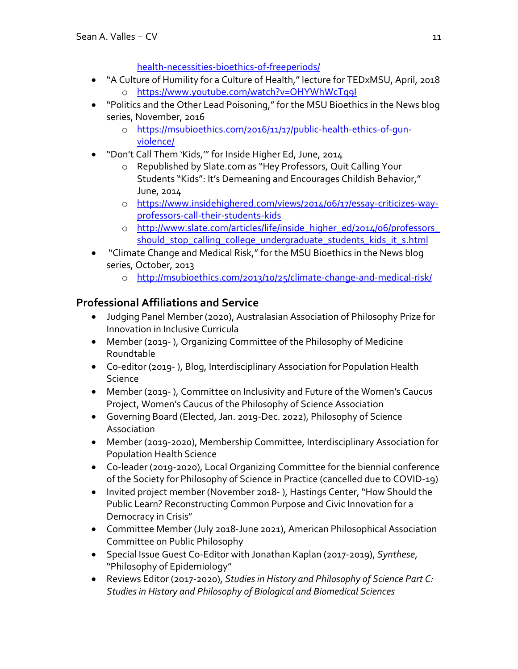health-necessities-bioethics-of-freeperiods/

- "A Culture of Humility for a Culture of Health," lecture for TEDxMSU, April, 2018 o https://www.youtube.com/watch?v=OHYWhWcTq9I
- "Politics and the Other Lead Poisoning," for the MSU Bioethics in the News blog series, November, 2016
	- o https://msubioethics.com/2016/11/17/public-health-ethics-of-gunviolence/
- "Don't Call Them 'Kids,'" for Inside Higher Ed, June, 2014
	- o Republished by Slate.com as "Hey Professors, Quit Calling Your Students "Kids": It's Demeaning and Encourages Childish Behavior," June, 2014
	- o https://www.insidehighered.com/views/2014/06/17/essay-criticizes-wayprofessors-call-their-students-kids
	- o http://www.slate.com/articles/life/inside\_higher\_ed/2014/06/professors\_ should\_stop\_calling\_college\_undergraduate\_students\_kids\_it\_s.html
- "Climate Change and Medical Risk," for the MSU Bioethics in the News blog series, October, 2013
	- o http://msubioethics.com/2013/10/25/climate-change-and-medical-risk/

# **Professional Affiliations and Service**

- Judging Panel Member (2020), Australasian Association of Philosophy Prize for Innovation in Inclusive Curricula
- Member (2019- ), Organizing Committee of the Philosophy of Medicine Roundtable
- Co-editor (2019- ), Blog, Interdisciplinary Association for Population Health Science
- Member (2019- ), Committee on Inclusivity and Future of the Women's Caucus Project, Women's Caucus of the Philosophy of Science Association
- Governing Board (Elected, Jan. 2019-Dec. 2022), Philosophy of Science Association
- Member (2019-2020), Membership Committee, Interdisciplinary Association for Population Health Science
- Co-leader (2019-2020), Local Organizing Committee for the biennial conference of the Society for Philosophy of Science in Practice (cancelled due to COVID-19)
- Invited project member (November 2018- ), Hastings Center, "How Should the Public Learn? Reconstructing Common Purpose and Civic Innovation for a Democracy in Crisis"
- Committee Member (July 2018-June 2021), American Philosophical Association Committee on Public Philosophy
- Special Issue Guest Co-Editor with Jonathan Kaplan (2017-2019), *Synthese*, "Philosophy of Epidemiology"
- Reviews Editor (2017-2020), *Studies in History and Philosophy of Science Part C: Studies in History and Philosophy of Biological and Biomedical Sciences*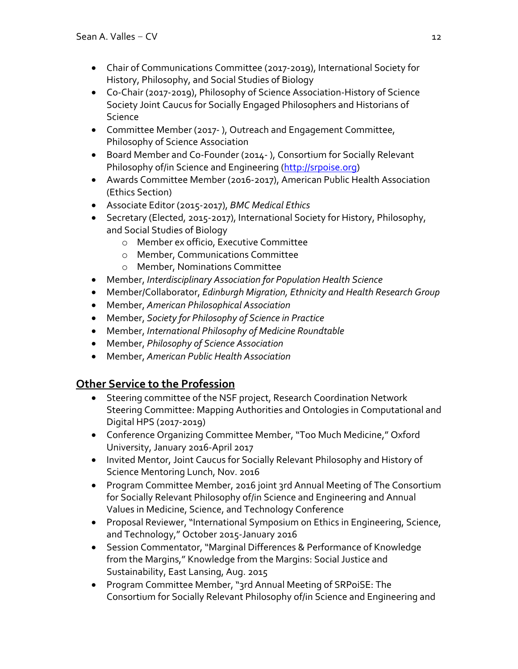- Chair of Communications Committee (2017-2019), International Society for History, Philosophy, and Social Studies of Biology
- Co-Chair (2017-2019), Philosophy of Science Association-History of Science Society Joint Caucus for Socially Engaged Philosophers and Historians of Science
- Committee Member (2017- ), Outreach and Engagement Committee, Philosophy of Science Association
- Board Member and Co-Founder (2014- ), Consortium for Socially Relevant Philosophy of/in Science and Engineering (http://srpoise.org)
- Awards Committee Member (2016-2017), American Public Health Association (Ethics Section)
- Associate Editor (2015-2017), *BMC Medical Ethics*
- Secretary (Elected, 2015-2017), International Society for History, Philosophy, and Social Studies of Biology
	- o Member ex officio, Executive Committee
	- o Member, Communications Committee
	- o Member, Nominations Committee
- Member, *Interdisciplinary Association for Population Health Science*
- Member/Collaborator, *Edinburgh Migration, Ethnicity and Health Research Group*
- Member, *American Philosophical Association*
- Member, *Society for Philosophy of Science in Practice*
- Member, *International Philosophy of Medicine Roundtable*
- Member, *Philosophy of Science Association*
- Member, *American Public Health Association*

### **Other Service to the Profession**

- Steering committee of the NSF project, Research Coordination Network Steering Committee: Mapping Authorities and Ontologies in Computational and Digital HPS (2017-2019)
- Conference Organizing Committee Member, "Too Much Medicine," Oxford University, January 2016-April 2017
- Invited Mentor, Joint Caucus for Socially Relevant Philosophy and History of Science Mentoring Lunch, Nov. 2016
- Program Committee Member, 2016 joint 3rd Annual Meeting of The Consortium for Socially Relevant Philosophy of/in Science and Engineering and Annual Values in Medicine, Science, and Technology Conference
- Proposal Reviewer, "International Symposium on Ethics in Engineering, Science, and Technology," October 2015-January 2016
- Session Commentator, "Marginal Differences & Performance of Knowledge from the Margins," Knowledge from the Margins: Social Justice and Sustainability, East Lansing, Aug. 2015
- Program Committee Member, "3rd Annual Meeting of SRPoiSE: The Consortium for Socially Relevant Philosophy of/in Science and Engineering and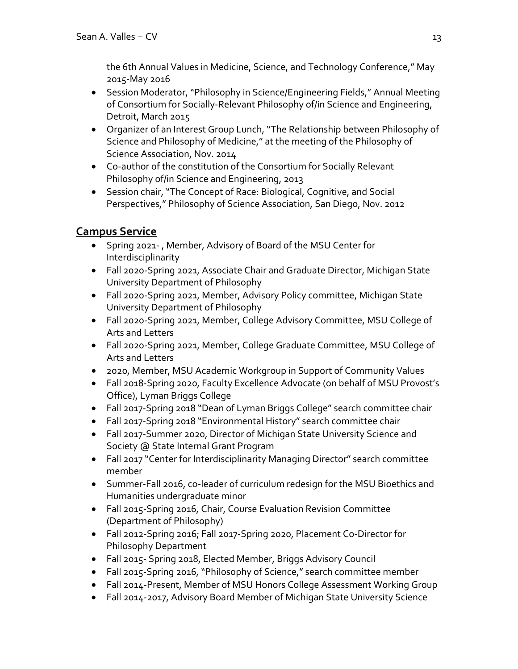the 6th Annual Values in Medicine, Science, and Technology Conference," May 2015-May 2016

- Session Moderator, "Philosophy in Science/Engineering Fields," Annual Meeting of Consortium for Socially-Relevant Philosophy of/in Science and Engineering, Detroit, March 2015
- Organizer of an Interest Group Lunch, "The Relationship between Philosophy of Science and Philosophy of Medicine," at the meeting of the Philosophy of Science Association, Nov. 2014
- Co-author of the constitution of the Consortium for Socially Relevant Philosophy of/in Science and Engineering, 2013
- Session chair, "The Concept of Race: Biological, Cognitive, and Social Perspectives," Philosophy of Science Association, San Diego, Nov. 2012

# **Campus Service**

- Spring 2021- , Member, Advisory of Board of the MSU Center for Interdisciplinarity
- Fall 2020-Spring 2021, Associate Chair and Graduate Director, Michigan State University Department of Philosophy
- Fall 2020-Spring 2021, Member, Advisory Policy committee, Michigan State University Department of Philosophy
- Fall 2020-Spring 2021, Member, College Advisory Committee, MSU College of Arts and Letters
- Fall 2020-Spring 2021, Member, College Graduate Committee, MSU College of Arts and Letters
- 2020, Member, MSU Academic Workgroup in Support of Community Values
- Fall 2018-Spring 2020, Faculty Excellence Advocate (on behalf of MSU Provost's Office), Lyman Briggs College
- Fall 2017-Spring 2018 "Dean of Lyman Briggs College" search committee chair
- Fall 2017-Spring 2018 "Environmental History" search committee chair
- Fall 2017-Summer 2020, Director of Michigan State University Science and Society @ State Internal Grant Program
- Fall 2017 "Center for Interdisciplinarity Managing Director" search committee member
- Summer-Fall 2016, co-leader of curriculum redesign for the MSU Bioethics and Humanities undergraduate minor
- Fall 2015-Spring 2016, Chair, Course Evaluation Revision Committee (Department of Philosophy)
- Fall 2012-Spring 2016; Fall 2017-Spring 2020, Placement Co-Director for Philosophy Department
- Fall 2015- Spring 2018, Elected Member, Briggs Advisory Council
- Fall 2015-Spring 2016, "Philosophy of Science," search committee member
- Fall 2014-Present, Member of MSU Honors College Assessment Working Group
- Fall 2014-2017, Advisory Board Member of Michigan State University Science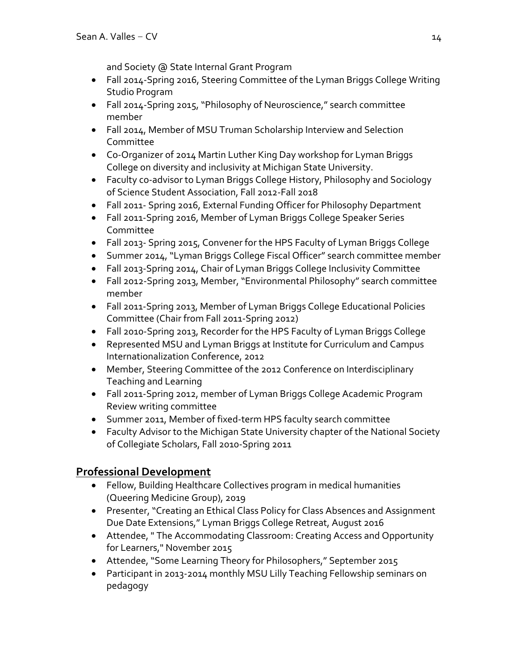and Society @ State Internal Grant Program

- Fall 2014-Spring 2016, Steering Committee of the Lyman Briggs College Writing Studio Program
- Fall 2014-Spring 2015, "Philosophy of Neuroscience," search committee member
- Fall 2014, Member of MSU Truman Scholarship Interview and Selection Committee
- Co-Organizer of 2014 Martin Luther King Day workshop for Lyman Briggs College on diversity and inclusivity at Michigan State University.
- Faculty co-advisor to Lyman Briggs College History, Philosophy and Sociology of Science Student Association, Fall 2012-Fall 2018
- Fall 2011- Spring 2016, External Funding Officer for Philosophy Department
- Fall 2011-Spring 2016, Member of Lyman Briggs College Speaker Series Committee
- Fall 2013- Spring 2015, Convener for the HPS Faculty of Lyman Briggs College
- Summer 2014, "Lyman Briggs College Fiscal Officer" search committee member
- Fall 2013-Spring 2014, Chair of Lyman Briggs College Inclusivity Committee
- Fall 2012-Spring 2013, Member, "Environmental Philosophy" search committee member
- Fall 2011-Spring 2013, Member of Lyman Briggs College Educational Policies Committee (Chair from Fall 2011-Spring 2012)
- Fall 2010-Spring 2013, Recorder for the HPS Faculty of Lyman Briggs College
- Represented MSU and Lyman Briggs at Institute for Curriculum and Campus Internationalization Conference, 2012
- Member, Steering Committee of the 2012 Conference on Interdisciplinary Teaching and Learning
- Fall 2011-Spring 2012, member of Lyman Briggs College Academic Program Review writing committee
- Summer 2011, Member of fixed-term HPS faculty search committee
- Faculty Advisor to the Michigan State University chapter of the National Society of Collegiate Scholars, Fall 2010-Spring 2011

# **Professional Development**

- Fellow, Building Healthcare Collectives program in medical humanities (Queering Medicine Group), 2019
- Presenter, "Creating an Ethical Class Policy for Class Absences and Assignment Due Date Extensions," Lyman Briggs College Retreat, August 2016
- Attendee, " The Accommodating Classroom: Creating Access and Opportunity for Learners," November 2015
- Attendee, "Some Learning Theory for Philosophers," September 2015
- Participant in 2013-2014 monthly MSU Lilly Teaching Fellowship seminars on pedagogy